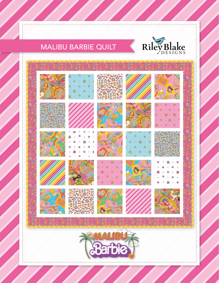